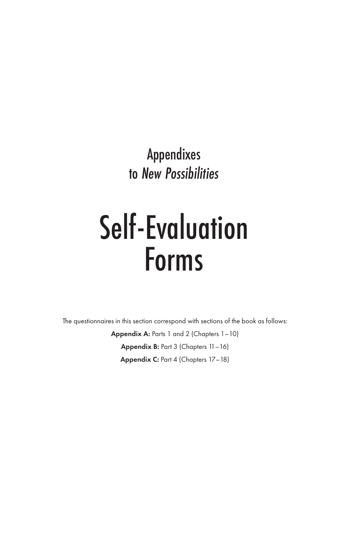Appendixes to *New Possibilities*

# Self-Evaluation Forms

The questionnaires in this section correspond with sections of the book as follows:

Appendix A: Parts 1 and 2 (Chapters 1–10) Appendix B: Part 3 (Chapters 11–16) Appendix C: Part 4 (Chapters 17–18)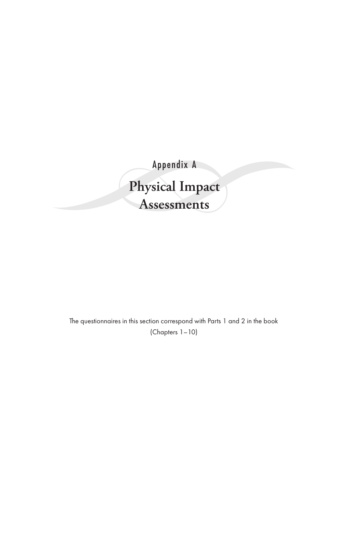Appendix A **Physical Impact Assessments**

The questionnaires in this section correspond with Parts 1 and 2 in the book (Chapters 1–10)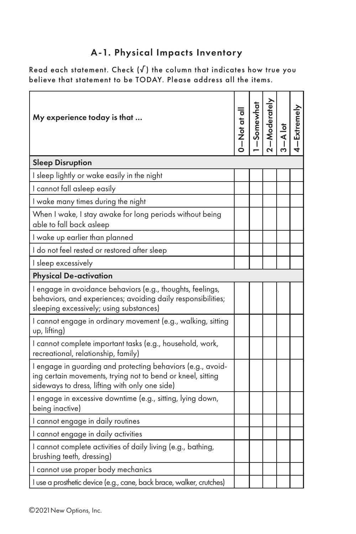## A-1. Physical Impacts Inventory

Read each statement. Check  $(\sqrt{})$  the column that indicates how true you believe that statement to be TODAY. Please address all the items.

| My experience today is that                                                                                                                                                  | $\frac{1}{\sigma}$ to $\frac{1}{\sigma}$ | 1-Somewhat<br>2-Moderately | A lot | 4-Extremely |
|------------------------------------------------------------------------------------------------------------------------------------------------------------------------------|------------------------------------------|----------------------------|-------|-------------|
| <b>Sleep Disruption</b>                                                                                                                                                      |                                          |                            |       |             |
| I sleep lightly or wake easily in the night                                                                                                                                  |                                          |                            |       |             |
| I cannot fall asleep easily                                                                                                                                                  |                                          |                            |       |             |
| I wake many times during the night                                                                                                                                           |                                          |                            |       |             |
| When I wake, I stay awake for long periods without being<br>able to fall back asleep                                                                                         |                                          |                            |       |             |
| I wake up earlier than planned                                                                                                                                               |                                          |                            |       |             |
| I do not feel rested or restored after sleep                                                                                                                                 |                                          |                            |       |             |
| I sleep excessively                                                                                                                                                          |                                          |                            |       |             |
| <b>Physical De-activation</b>                                                                                                                                                |                                          |                            |       |             |
| I engage in avoidance behaviors (e.g., thoughts, feelings,<br>behaviors, and experiences; avoiding daily responsibilities;<br>sleeping excessively; using substances)        |                                          |                            |       |             |
| I cannot engage in ordinary movement (e.g., walking, sitting<br>up, lifting)                                                                                                 |                                          |                            |       |             |
| I cannot complete important tasks (e.g., household, work,<br>recreational, relationship, family)                                                                             |                                          |                            |       |             |
| I engage in guarding and protecting behaviors (e.g., avoid-<br>ing certain movements, trying not to bend or kneel, sitting<br>sideways to dress, lifting with only one side) |                                          |                            |       |             |
| I engage in excessive downtime (e.g., sitting, lying down,<br>being inactive)                                                                                                |                                          |                            |       |             |
| I cannot engage in daily routines                                                                                                                                            |                                          |                            |       |             |
| I cannot engage in daily activities                                                                                                                                          |                                          |                            |       |             |
| I cannot complete activities of daily living (e.g., bathing,<br>brushing teeth, dressing)                                                                                    |                                          |                            |       |             |
| I cannot use proper body mechanics                                                                                                                                           |                                          |                            |       |             |
| I use a prosthetic device (e.g., cane, back brace, walker, crutches)                                                                                                         |                                          |                            |       |             |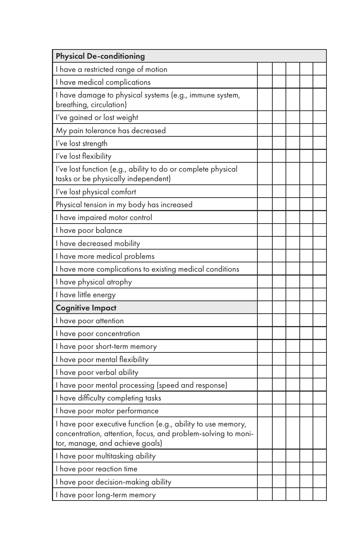| <b>Physical De-conditioning</b>                                                                                                                                  |  |  |  |
|------------------------------------------------------------------------------------------------------------------------------------------------------------------|--|--|--|
| I have a restricted range of motion                                                                                                                              |  |  |  |
| I have medical complications                                                                                                                                     |  |  |  |
| I have damage to physical systems (e.g., immune system,<br>breathing, circulation)                                                                               |  |  |  |
| I've gained or lost weight                                                                                                                                       |  |  |  |
| My pain tolerance has decreased                                                                                                                                  |  |  |  |
| I've lost strength                                                                                                                                               |  |  |  |
| I've lost flexibility                                                                                                                                            |  |  |  |
| I've lost function (e.g., ability to do or complete physical<br>tasks or be physically independent)                                                              |  |  |  |
| I've lost physical comfort                                                                                                                                       |  |  |  |
| Physical tension in my body has increased                                                                                                                        |  |  |  |
| I have impaired motor control                                                                                                                                    |  |  |  |
| I have poor balance                                                                                                                                              |  |  |  |
| I have decreased mobility                                                                                                                                        |  |  |  |
| I have more medical problems                                                                                                                                     |  |  |  |
| I have more complications to existing medical conditions                                                                                                         |  |  |  |
| I have physical atrophy                                                                                                                                          |  |  |  |
| I have little energy                                                                                                                                             |  |  |  |
| <b>Cognitive Impact</b>                                                                                                                                          |  |  |  |
| I have poor attention                                                                                                                                            |  |  |  |
| I have poor concentration                                                                                                                                        |  |  |  |
| I have poor short-term memory                                                                                                                                    |  |  |  |
| I have poor mental flexibility                                                                                                                                   |  |  |  |
| I have poor verbal ability                                                                                                                                       |  |  |  |
| I have poor mental processing (speed and response)                                                                                                               |  |  |  |
| I have difficulty completing tasks                                                                                                                               |  |  |  |
| I have poor motor performance                                                                                                                                    |  |  |  |
| I have poor executive function (e.g., ability to use memory,<br>concentration, attention, focus, and problem-solving to moni-<br>tor, manage, and achieve goals) |  |  |  |
| I have poor multitasking ability                                                                                                                                 |  |  |  |
| I have poor reaction time                                                                                                                                        |  |  |  |
| I have poor decision-making ability                                                                                                                              |  |  |  |
| I have poor long-term memory                                                                                                                                     |  |  |  |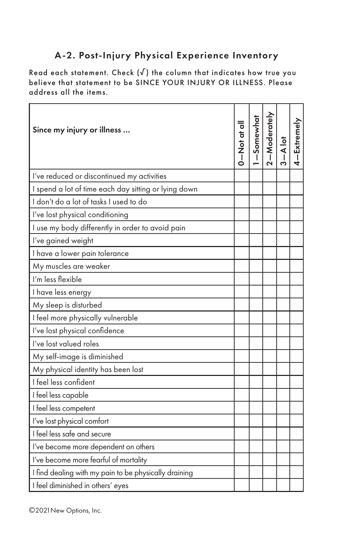## A-2. Post-Injury Physical Experience Inventory

Read each statement. Check  $(\sqrt{})$  the column that indicates how true you believe that statement to be SINCE YOUR INJURY OR ILLNESS. Please address all the items.

| Since my injury or illness                            | $\frac{1}{5}$ to $\frac{1}{2}$ | 1-Somewhat<br>2-Moderately | A lot | 4-Extremely |
|-------------------------------------------------------|--------------------------------|----------------------------|-------|-------------|
| I've reduced or discontinued my activities            |                                |                            |       |             |
| I spend a lot of time each day sitting or lying down  |                                |                            |       |             |
| I don't do a lot of tasks I used to do                |                                |                            |       |             |
| I've lost physical conditioning                       |                                |                            |       |             |
| I use my body differently in order to avoid pain      |                                |                            |       |             |
| I've gained weight                                    |                                |                            |       |             |
| I have a lower pain tolerance                         |                                |                            |       |             |
| My muscles are weaker                                 |                                |                            |       |             |
| I'm less flexible                                     |                                |                            |       |             |
| I have less energy                                    |                                |                            |       |             |
| My sleep is disturbed                                 |                                |                            |       |             |
| I feel more physically vulnerable                     |                                |                            |       |             |
| I've lost physical confidence                         |                                |                            |       |             |
| I've lost valued roles                                |                                |                            |       |             |
| My self-image is diminished                           |                                |                            |       |             |
| My physical identity has been lost                    |                                |                            |       |             |
| I feel less confident                                 |                                |                            |       |             |
| I feel less capable                                   |                                |                            |       |             |
| I feel less competent                                 |                                |                            |       |             |
| I've lost physical comfort                            |                                |                            |       |             |
| I feel less safe and secure                           |                                |                            |       |             |
| I've become more dependent on others                  |                                |                            |       |             |
| I've become more fearful of mortality                 |                                |                            |       |             |
| I find dealing with my pain to be physically draining |                                |                            |       |             |
| I feel diminished in others' eyes                     |                                |                            |       |             |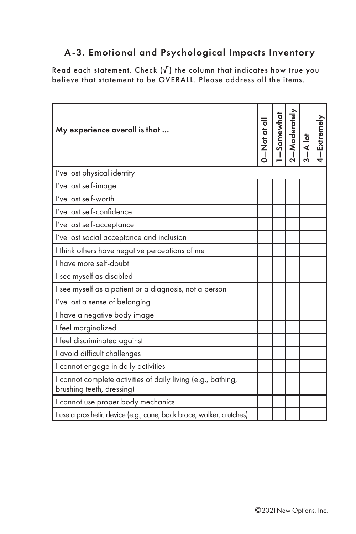## A-3. Emotional and Psychological Impacts Inventory

Read each statement. Check (√) the column that indicates how true you believe that statement to be OVERALL. Please address all the items.

| My experience overall is that                                                             |  | $\frac{1-\text{Somewhat}}{2-\text{Modernly}}$ | 4-Extremely |
|-------------------------------------------------------------------------------------------|--|-----------------------------------------------|-------------|
| I've lost physical identity                                                               |  |                                               |             |
| I've lost self-image                                                                      |  |                                               |             |
| I've lost self-worth                                                                      |  |                                               |             |
| I've lost self-confidence                                                                 |  |                                               |             |
| l've lost self-acceptance                                                                 |  |                                               |             |
| I've lost social acceptance and inclusion                                                 |  |                                               |             |
| I think others have negative perceptions of me                                            |  |                                               |             |
| I have more self-doubt                                                                    |  |                                               |             |
| I see myself as disabled                                                                  |  |                                               |             |
| I see myself as a patient or a diagnosis, not a person                                    |  |                                               |             |
| I've lost a sense of belonging                                                            |  |                                               |             |
| I have a negative body image                                                              |  |                                               |             |
| I feel marginalized                                                                       |  |                                               |             |
| I feel discriminated against                                                              |  |                                               |             |
| I avoid difficult challenges                                                              |  |                                               |             |
| I cannot engage in daily activities                                                       |  |                                               |             |
| I cannot complete activities of daily living (e.g., bathing,<br>brushing teeth, dressing) |  |                                               |             |
| I cannot use proper body mechanics                                                        |  |                                               |             |
| I use a prosthetic device (e.g., cane, back brace, walker, crutches)                      |  |                                               |             |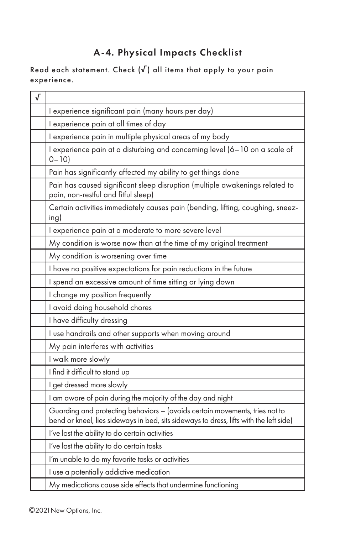# A-4. Physical Impacts Checklist

Read each statement. Check  $(\sqrt{})$  all items that apply to your pain experience.

| √ |                                                                                                                                                                       |
|---|-----------------------------------------------------------------------------------------------------------------------------------------------------------------------|
|   | I experience significant pain (many hours per day)                                                                                                                    |
|   | I experience pain at all times of day                                                                                                                                 |
|   | I experience pain in multiple physical areas of my body                                                                                                               |
|   | I experience pain at a disturbing and concerning level (6-10 on a scale of<br>$0 - 10$                                                                                |
|   | Pain has significantly affected my ability to get things done                                                                                                         |
|   | Pain has caused significant sleep disruption (multiple awakenings related to<br>pain, non-restful and fitful sleep)                                                   |
|   | Certain activities immediately causes pain (bending, lifting, coughing, sneez-<br>ing)                                                                                |
|   | I experience pain at a moderate to more severe level                                                                                                                  |
|   | My condition is worse now than at the time of my original treatment                                                                                                   |
|   | My condition is worsening over time                                                                                                                                   |
|   | I have no positive expectations for pain reductions in the future                                                                                                     |
|   | I spend an excessive amount of time sitting or lying down                                                                                                             |
|   | I change my position frequently                                                                                                                                       |
|   | I avoid doing household chores                                                                                                                                        |
|   | I have difficulty dressing                                                                                                                                            |
|   | I use handrails and other supports when moving around                                                                                                                 |
|   | My pain interferes with activities                                                                                                                                    |
|   | I walk more slowly                                                                                                                                                    |
|   | I find it difficult to stand up                                                                                                                                       |
|   | I get dressed more slowly                                                                                                                                             |
|   | I am aware of pain during the majority of the day and night                                                                                                           |
|   | Guarding and protecting behaviors - (avoids certain movements, tries not to<br>bend or kneel, lies sideways in bed, sits sideways to dress, lifts with the left side) |
|   | I've lost the ability to do certain activities                                                                                                                        |
|   | I've lost the ability to do certain tasks                                                                                                                             |
|   | I'm unable to do my favorite tasks or activities                                                                                                                      |
|   | I use a potentially addictive medication                                                                                                                              |
|   | My medications cause side effects that undermine functioning                                                                                                          |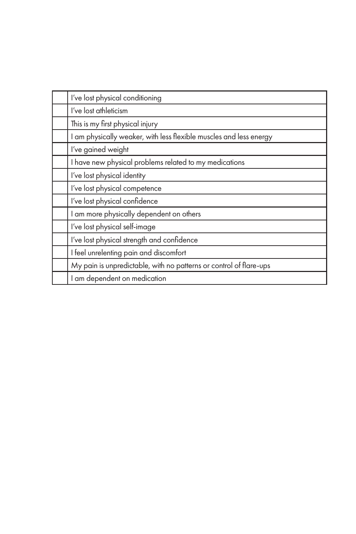| I've lost physical conditioning                                    |
|--------------------------------------------------------------------|
| I've lost athleticism                                              |
| This is my first physical injury                                   |
| I am physically weaker, with less flexible muscles and less energy |
| I've gained weight                                                 |
| I have new physical problems related to my medications             |
| I've lost physical identity                                        |
| I've lost physical competence                                      |
| I've lost physical confidence                                      |
| I am more physically dependent on others                           |
| I've lost physical self-image                                      |
| I've lost physical strength and confidence                         |
| I feel unrelenting pain and discomfort                             |
| My pain is unpredictable, with no patterns or control of flare-ups |
| I am dependent on medication                                       |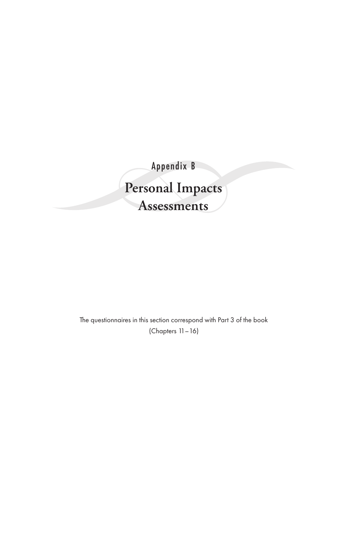Appendix B **Personal Impacts Assessments**

> The questionnaires in this section correspond with Part 3 of the book (Chapters 11–16)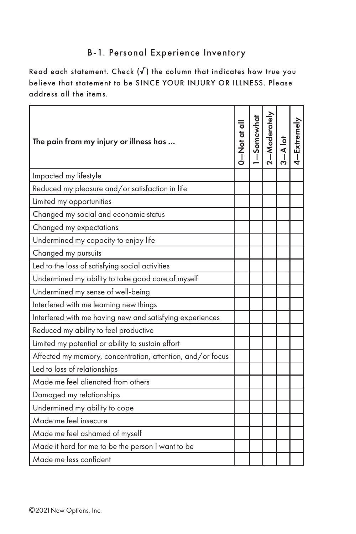#### B-1. Personal Experience Inventory

Read each statement. Check  $(\sqrt{})$  the column that indicates how true you believe that statement to be SINCE YOUR INJURY OR ILLNESS. Please address all the items.

| The pain from my injury or illness has                     | o to to N | Somewhat | -Moderately | A lot<br>Ť | <b>Extremely</b> |
|------------------------------------------------------------|-----------|----------|-------------|------------|------------------|
| Impacted my lifestyle                                      |           |          |             |            |                  |
| Reduced my pleasure and/or satisfaction in life            |           |          |             |            |                  |
| Limited my opportunities                                   |           |          |             |            |                  |
| Changed my social and economic status                      |           |          |             |            |                  |
| Changed my expectations                                    |           |          |             |            |                  |
| Undermined my capacity to enjoy life                       |           |          |             |            |                  |
| Changed my pursuits                                        |           |          |             |            |                  |
| Led to the loss of satisfying social activities            |           |          |             |            |                  |
| Undermined my ability to take good care of myself          |           |          |             |            |                  |
| Undermined my sense of well-being                          |           |          |             |            |                  |
| Interfered with me learning new things                     |           |          |             |            |                  |
| Interfered with me having new and satisfying experiences   |           |          |             |            |                  |
| Reduced my ability to feel productive                      |           |          |             |            |                  |
| Limited my potential or ability to sustain effort          |           |          |             |            |                  |
| Affected my memory, concentration, attention, and/or focus |           |          |             |            |                  |
| Led to loss of relationships                               |           |          |             |            |                  |
| Made me feel alienated from others                         |           |          |             |            |                  |
| Damaged my relationships                                   |           |          |             |            |                  |
| Undermined my ability to cope                              |           |          |             |            |                  |
| Made me feel insecure                                      |           |          |             |            |                  |
| Made me feel ashamed of myself                             |           |          |             |            |                  |
| Made it hard for me to be the person I want to be          |           |          |             |            |                  |
| Made me less confident                                     |           |          |             |            |                  |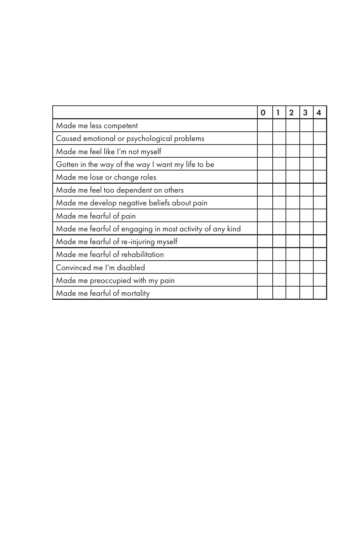|                                                          | O | 2 | 3 | 4 |
|----------------------------------------------------------|---|---|---|---|
| Made me less competent                                   |   |   |   |   |
| Caused emotional or psychological problems               |   |   |   |   |
| Made me feel like I'm not myself                         |   |   |   |   |
| Gotten in the way of the way I want my life to be        |   |   |   |   |
| Made me lose or change roles                             |   |   |   |   |
| Made me feel too dependent on others                     |   |   |   |   |
| Made me develop negative beliefs about pain              |   |   |   |   |
| Made me fearful of pain                                  |   |   |   |   |
| Made me fearful of engaging in most activity of any kind |   |   |   |   |
| Made me fearful of re-injuring myself                    |   |   |   |   |
| Made me fearful of rehabilitation                        |   |   |   |   |
| Convinced me I'm disabled                                |   |   |   |   |
| Made me preoccupied with my pain                         |   |   |   |   |
| Made me fearful of mortality                             |   |   |   |   |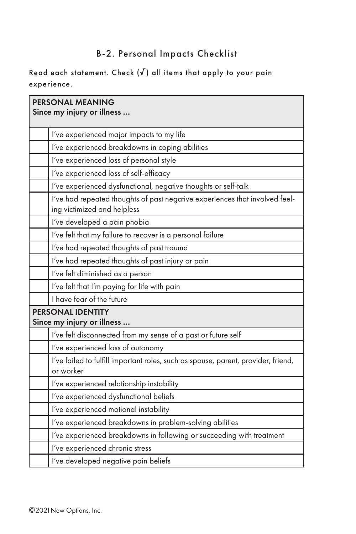## B-2. Personal Impacts Checklist

Read each statement. Check  $(\sqrt{})$  all items that apply to your pain experience.

| <b>PERSONAL MEANING</b><br>Since my injury or illness                                                      |
|------------------------------------------------------------------------------------------------------------|
| I've experienced major impacts to my life                                                                  |
| I've experienced breakdowns in coping abilities                                                            |
| I've experienced loss of personal style                                                                    |
| I've experienced loss of self-efficacy                                                                     |
| I've experienced dysfunctional, negative thoughts or self-talk                                             |
| I've had repeated thoughts of past negative experiences that involved feel-<br>ing victimized and helpless |
| l've developed a pain phobia                                                                               |
| I've felt that my failure to recover is a personal failure                                                 |
| I've had repeated thoughts of past trauma                                                                  |
| I've had repeated thoughts of past injury or pain                                                          |
| l've felt diminished as a person                                                                           |
| I've felt that I'm paying for life with pain                                                               |
| I have fear of the future                                                                                  |
| <b>PERSONAL IDENTITY</b><br>Since my injury or illness                                                     |
| I've felt disconnected from my sense of a past or future self                                              |
| I've experienced loss of autonomy                                                                          |
| I've failed to fulfill important roles, such as spouse, parent, provider, friend,<br>or worker             |
| I've experienced relationship instability                                                                  |
| I've experienced dysfunctional beliefs                                                                     |
| I've experienced motional instability                                                                      |
| I've experienced breakdowns in problem-solving abilities                                                   |
| I've experienced breakdowns in following or succeeding with treatment                                      |
| I've experienced chronic stress                                                                            |
| I've developed negative pain beliefs                                                                       |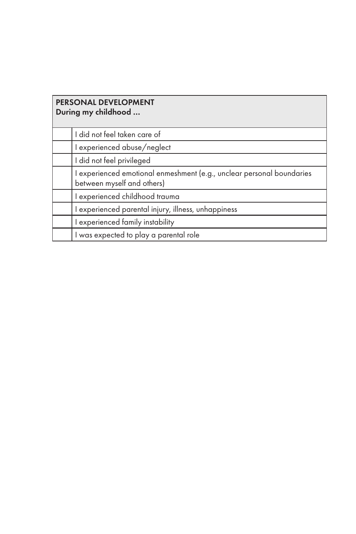| <b>PERSONAL DEVELOPMENT</b><br>During my childhood                                                  |
|-----------------------------------------------------------------------------------------------------|
| I did not feel taken care of                                                                        |
| I experienced abuse/neglect                                                                         |
| I did not feel privileged                                                                           |
| I experienced emotional enmeshment (e.g., unclear personal boundaries<br>between myself and others) |
| I experienced childhood trauma                                                                      |
| I experienced parental injury, illness, unhappiness                                                 |
| I experienced family instability                                                                    |
| I was expected to play a parental role                                                              |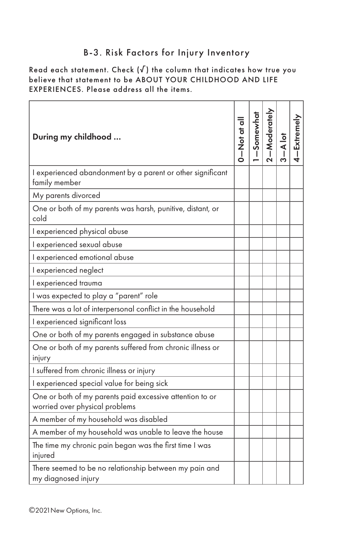#### B-3. Risk Factors for Injury Inventory

Read each statement. Check  $(\sqrt{ } )$  the column that indicates how true you believe that statement to be ABOUT YOUR CHILDHOOD AND LIFE EXPERIENCES. Please address all the items.

| During my childhood                                                                        | 0 to to N    0 | Somewhat<br>T | $-Moderately$ | $\frac{1}{4}$ | -Extremely |
|--------------------------------------------------------------------------------------------|----------------|---------------|---------------|---------------|------------|
| I experienced abandonment by a parent or other significant<br>family member                |                |               |               |               |            |
| My parents divorced                                                                        |                |               |               |               |            |
| One or both of my parents was harsh, punitive, distant, or<br>cold                         |                |               |               |               |            |
| I experienced physical abuse                                                               |                |               |               |               |            |
| I experienced sexual abuse                                                                 |                |               |               |               |            |
| I experienced emotional abuse                                                              |                |               |               |               |            |
| I experienced neglect                                                                      |                |               |               |               |            |
| I experienced trauma                                                                       |                |               |               |               |            |
| I was expected to play a "parent" role                                                     |                |               |               |               |            |
| There was a lot of interpersonal conflict in the household                                 |                |               |               |               |            |
| I experienced significant loss                                                             |                |               |               |               |            |
| One or both of my parents engaged in substance abuse                                       |                |               |               |               |            |
| One or both of my parents suffered from chronic illness or<br>injury                       |                |               |               |               |            |
| I suffered from chronic illness or injury                                                  |                |               |               |               |            |
| I experienced special value for being sick                                                 |                |               |               |               |            |
| One or both of my parents paid excessive attention to or<br>worried over physical problems |                |               |               |               |            |
| A member of my household was disabled                                                      |                |               |               |               |            |
| A member of my household was unable to leave the house                                     |                |               |               |               |            |
| The time my chronic pain began was the first time I was<br>injured                         |                |               |               |               |            |
| There seemed to be no relationship between my pain and<br>my diagnosed injury              |                |               |               |               |            |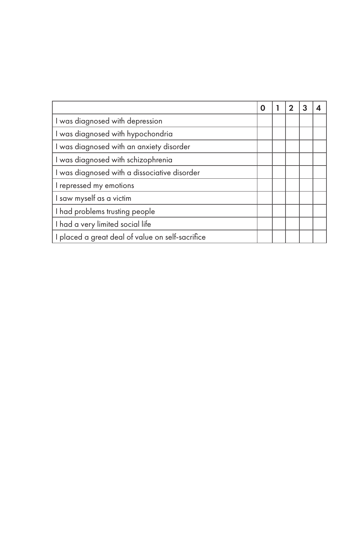|                                                  | Ω |  |  |
|--------------------------------------------------|---|--|--|
| I was diagnosed with depression                  |   |  |  |
| I was diagnosed with hypochondria                |   |  |  |
| I was diagnosed with an anxiety disorder         |   |  |  |
| I was diagnosed with schizophrenia               |   |  |  |
| I was diagnosed with a dissociative disorder     |   |  |  |
| I repressed my emotions                          |   |  |  |
| I saw myself as a victim                         |   |  |  |
| I had problems trusting people                   |   |  |  |
| I had a very limited social life                 |   |  |  |
| I placed a great deal of value on self-sacrifice |   |  |  |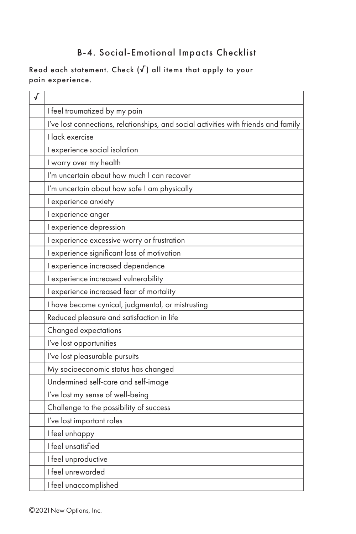## B-4. Social-Emotional Impacts Checklist

#### Read each statement. Check  $(\sqrt{})$  all items that apply to your pain experience.

| √ |                                                                                     |
|---|-------------------------------------------------------------------------------------|
|   | I feel traumatized by my pain                                                       |
|   | I've lost connections, relationships, and social activities with friends and family |
|   | I lack exercise                                                                     |
|   | I experience social isolation                                                       |
|   | I worry over my health                                                              |
|   | I'm uncertain about how much I can recover                                          |
|   | I'm uncertain about how safe I am physically                                        |
|   | I experience anxiety                                                                |
|   | I experience anger                                                                  |
|   | I experience depression                                                             |
|   | I experience excessive worry or frustration                                         |
|   | I experience significant loss of motivation                                         |
|   | I experience increased dependence                                                   |
|   | I experience increased vulnerability                                                |
|   | I experience increased fear of mortality                                            |
|   | I have become cynical, judgmental, or mistrusting                                   |
|   | Reduced pleasure and satisfaction in life                                           |
|   | Changed expectations                                                                |
|   | I've lost opportunities                                                             |
|   | l've lost pleasurable pursuits                                                      |
|   | My socioeconomic status has changed                                                 |
|   | Undermined self-care and self-image                                                 |
|   | I've lost my sense of well-being                                                    |
|   | Challenge to the possibility of success                                             |
|   | I've lost important roles                                                           |
|   | I feel unhappy                                                                      |
|   | I feel unsatisfied                                                                  |
|   | I feel unproductive                                                                 |
|   | I feel unrewarded                                                                   |
|   | I feel unaccomplished                                                               |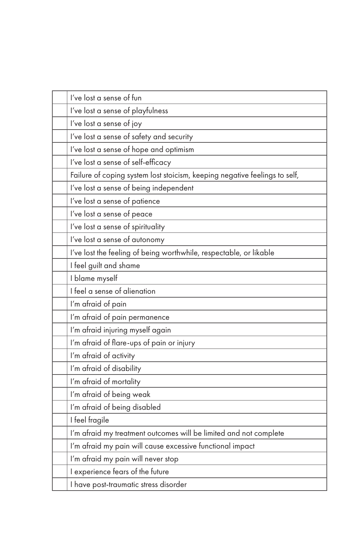| I've lost a sense of fun                                                   |
|----------------------------------------------------------------------------|
| I've lost a sense of playfulness                                           |
| I've lost a sense of joy                                                   |
| I've lost a sense of safety and security                                   |
| I've lost a sense of hope and optimism                                     |
| I've lost a sense of self-efficacy                                         |
| Failure of coping system lost stoicism, keeping negative feelings to self, |
| I've lost a sense of being independent                                     |
| I've lost a sense of patience                                              |
| I've lost a sense of peace                                                 |
| I've lost a sense of spirituality                                          |
| I've lost a sense of autonomy                                              |
| I've lost the feeling of being worthwhile, respectable, or likable         |
| I feel guilt and shame                                                     |
| I blame myself                                                             |
| I feel a sense of alienation                                               |
| I'm afraid of pain                                                         |
| I'm afraid of pain permanence                                              |
| I'm afraid injuring myself again                                           |
| I'm afraid of flare-ups of pain or injury                                  |
| I'm afraid of activity                                                     |
| I'm afraid of disability                                                   |
| I'm afraid of mortality                                                    |
| I'm afraid of being weak                                                   |
| I'm afraid of being disabled                                               |
| I feel fragile                                                             |
| I'm afraid my treatment outcomes will be limited and not complete          |
| I'm afraid my pain will cause excessive functional impact                  |
| I'm afraid my pain will never stop                                         |
| I experience fears of the future                                           |
| I have post-traumatic stress disorder                                      |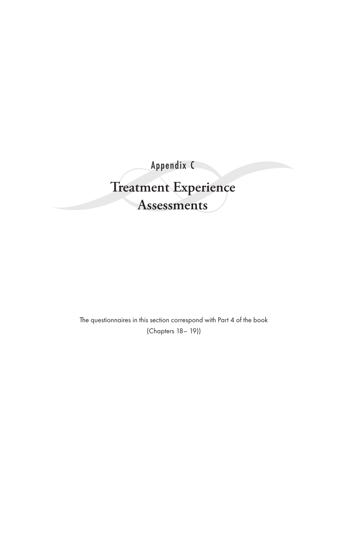Appendix C **Treatment Experience Assessments**

The questionnaires in this section correspond with Part 4 of the book (Chapters 18– 19))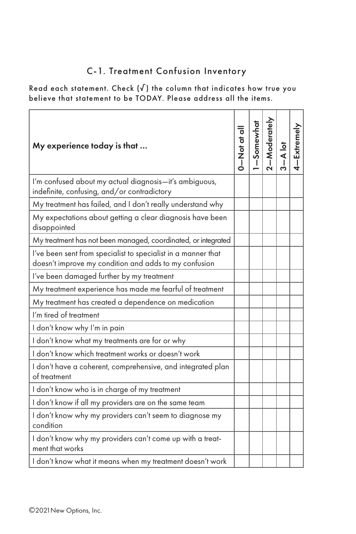## C-1. Treatment Confusion Inventory

Read each statement. Check  $(\sqrt{})$  the column that indicates how true you believe that statement to be TODAY. Please address all the items.

| My experience today is that                                                                                            | llo to to NI<br>O | Somewhat<br>Ť | $-Moderately$ | A lot | Extremely |
|------------------------------------------------------------------------------------------------------------------------|-------------------|---------------|---------------|-------|-----------|
| I'm confused about my actual diagnosis-it's ambiguous,<br>indefinite, confusing, and/or contradictory                  |                   |               |               |       |           |
| My treatment has failed, and I don't really understand why                                                             |                   |               |               |       |           |
| My expectations about getting a clear diagnosis have been<br>disappointed                                              |                   |               |               |       |           |
| My treatment has not been managed, coordinated, or integrated                                                          |                   |               |               |       |           |
| I've been sent from specialist to specialist in a manner that<br>doesn't improve my condition and adds to my confusion |                   |               |               |       |           |
| I've been damaged further by my treatment                                                                              |                   |               |               |       |           |
| My treatment experience has made me fearful of treatment                                                               |                   |               |               |       |           |
| My treatment has created a dependence on medication                                                                    |                   |               |               |       |           |
| I'm tired of treatment                                                                                                 |                   |               |               |       |           |
| I don't know why I'm in pain                                                                                           |                   |               |               |       |           |
| I don't know what my treatments are for or why                                                                         |                   |               |               |       |           |
| I don't know which treatment works or doesn't work                                                                     |                   |               |               |       |           |
| I don't have a coherent, comprehensive, and integrated plan<br>of treatment                                            |                   |               |               |       |           |
| I don't know who is in charge of my treatment                                                                          |                   |               |               |       |           |
| I don't know if all my providers are on the same team                                                                  |                   |               |               |       |           |
| I don't know why my providers can't seem to diagnose my<br>condition                                                   |                   |               |               |       |           |
| I don't know why my providers can't come up with a treat-<br>ment that works                                           |                   |               |               |       |           |
| I don't know what it means when my treatment doesn't work                                                              |                   |               |               |       |           |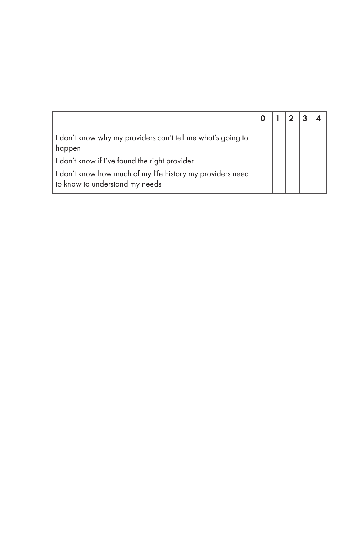| I don't know why my providers can't tell me what's going to<br>happen                        |  |  |  |
|----------------------------------------------------------------------------------------------|--|--|--|
| I don't know if I've found the right provider                                                |  |  |  |
| I don't know how much of my life history my providers need<br>to know to understand my needs |  |  |  |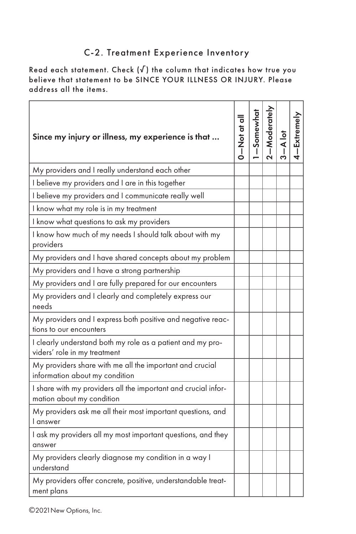#### C-2. Treatment Experience Inventory

Read each statement. Check  $(\sqrt{ } )$  the column that indicates how true you believe that statement to be SINCE YOUR ILLNESS OR INJURY. Please address all the items.

| Since my injury or illness, my experience is that                                           | To to to N | Somewhat<br>T | -Moderately | $\frac{1}{4}$ | Extremely |
|---------------------------------------------------------------------------------------------|------------|---------------|-------------|---------------|-----------|
| My providers and I really understand each other                                             |            |               |             |               |           |
| I believe my providers and I are in this together                                           |            |               |             |               |           |
| I believe my providers and I communicate really well                                        |            |               |             |               |           |
| I know what my role is in my treatment                                                      |            |               |             |               |           |
| I know what questions to ask my providers                                                   |            |               |             |               |           |
| I know how much of my needs I should talk about with my<br>providers                        |            |               |             |               |           |
| My providers and I have shared concepts about my problem                                    |            |               |             |               |           |
| My providers and I have a strong partnership                                                |            |               |             |               |           |
| My providers and I are fully prepared for our encounters                                    |            |               |             |               |           |
| My providers and I clearly and completely express our<br>needs                              |            |               |             |               |           |
| My providers and I express both positive and negative reac-<br>tions to our encounters      |            |               |             |               |           |
| I clearly understand both my role as a patient and my pro-<br>viders' role in my treatment  |            |               |             |               |           |
| My providers share with me all the important and crucial<br>information about my condition  |            |               |             |               |           |
| I share with my providers all the important and crucial infor-<br>mation about my condition |            |               |             |               |           |
| My providers ask me all their most important questions, and<br>l answer                     |            |               |             |               |           |
| I ask my providers all my most important questions, and they<br>answer                      |            |               |             |               |           |
| My providers clearly diagnose my condition in a way I<br>understand                         |            |               |             |               |           |
| My providers offer concrete, positive, understandable treat-<br>ment plans                  |            |               |             |               |           |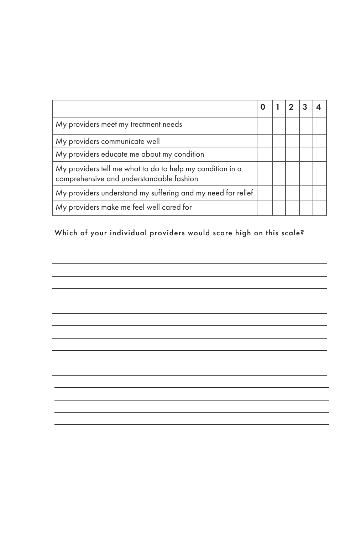| My providers meet my treatment needs                                                                  |  |  |  |
|-------------------------------------------------------------------------------------------------------|--|--|--|
| My providers communicate well                                                                         |  |  |  |
| My providers educate me about my condition                                                            |  |  |  |
| My providers tell me what to do to help my condition in a<br>comprehensive and understandable fashion |  |  |  |
| My providers understand my suffering and my need for relief                                           |  |  |  |
| My providers make me feel well cared for                                                              |  |  |  |

#### Which of your individual providers would score high on this scale?

 $\overline{\phantom{0}}$